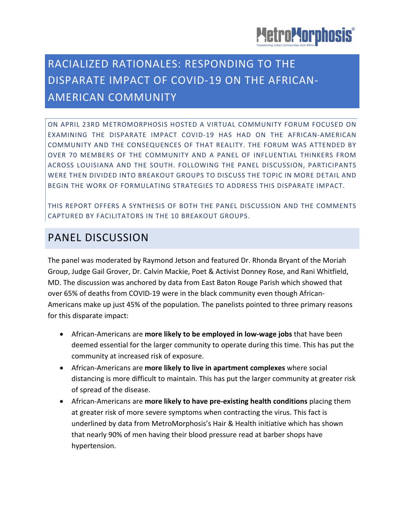

# RACIALIZED RATIONALES: RESPONDING TO THE DISPARATE IMPACT OF COVID-19 ON THE AFRICAN-AMERICAN COMMUNITY

ON APRIL 23RD METROMORPHOSIS HOSTED A VIRTUAL COMMUNITY FORUM FOCUSED ON EXAMINING THE DISPARATE IMPACT COVID-19 HAS HAD ON THE AFRICAN-AMERICAN COMMUNITY AND THE CONSEQUENCES OF THAT REALITY. THE FORUM WAS ATTENDED BY OVER 70 MEMBERS OF THE COMMUNITY AND A PANEL OF INFLUENTIAL THINKERS FROM ACROSS LOUISIANA AND THE SOUTH. FOLLOWING THE PANEL DISCUSSION, PARTICIPANTS WERE THEN DIVIDED INTO BREAKOUT GROUPS TO DISCUSS THE TOPIC IN MORE DETAIL AND BEGIN THE WORK OF FORMULATING STRATEGIES TO ADDRESS THIS DISPARATE IMPACT.

THIS REPORT OFFERS A SYNTHESIS OF BOTH THE PANEL DISCUSSION AND THE COMMENTS CAPTURED BY FACILITATORS IN THE 10 BREAKOUT GROUPS.

### PANEL DISCUSSION

The panel was moderated by Raymond Jetson and featured Dr. Rhonda Bryant of the Moriah Group, Judge Gail Grover, Dr. Calvin Mackie, Poet & Activist Donney Rose, and Rani Whitfield, MD. The discussion was anchored by data from East Baton Rouge Parish which showed that over 65% of deaths from COVID-19 were in the black community even though African-Americans make up just 45% of the population. The panelists pointed to three primary reasons for this disparate impact:

- African-Americans are **more likely to be employed in low-wage jobs** that have been deemed essential for the larger community to operate during this time. This has put the community at increased risk of exposure.
- African-Americans are **more likely to live in apartment complexes** where social distancing is more difficult to maintain. This has put the larger community at greater risk of spread of the disease.
- African-Americans are **more likely to have pre-existing health conditions** placing them at greater risk of more severe symptoms when contracting the virus. This fact is underlined by data from MetroMorphosis's Hair & Health initiative which has shown that nearly 90% of men having their blood pressure read at barber shops have hypertension.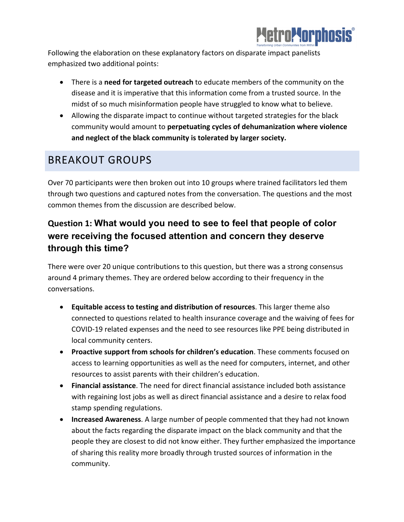

Following the elaboration on these explanatory factors on disparate impact panelists emphasized two additional points:

- There is a **need for targeted outreach** to educate members of the community on the disease and it is imperative that this information come from a trusted source. In the midst of so much misinformation people have struggled to know what to believe.
- Allowing the disparate impact to continue without targeted strategies for the black community would amount to **perpetuating cycles of dehumanization where violence and neglect of the black community is tolerated by larger society.**

## BREAKOUT GROUPS

Over 70 participants were then broken out into 10 groups where trained facilitators led them through two questions and captured notes from the conversation. The questions and the most common themes from the discussion are described below.

### **Question 1: What would you need to see to feel that people of color were receiving the focused attention and concern they deserve through this time?**

There were over 20 unique contributions to this question, but there was a strong consensus around 4 primary themes. They are ordered below according to their frequency in the conversations.

- **Equitable access to testing and distribution of resources**. This larger theme also connected to questions related to health insurance coverage and the waiving of fees for COVID-19 related expenses and the need to see resources like PPE being distributed in local community centers.
- **Proactive support from schools for children's education**. These comments focused on access to learning opportunities as well as the need for computers, internet, and other resources to assist parents with their children's education.
- **Financial assistance**. The need for direct financial assistance included both assistance with regaining lost jobs as well as direct financial assistance and a desire to relax food stamp spending regulations.
- **Increased Awareness**. A large number of people commented that they had not known about the facts regarding the disparate impact on the black community and that the people they are closest to did not know either. They further emphasized the importance of sharing this reality more broadly through trusted sources of information in the community.